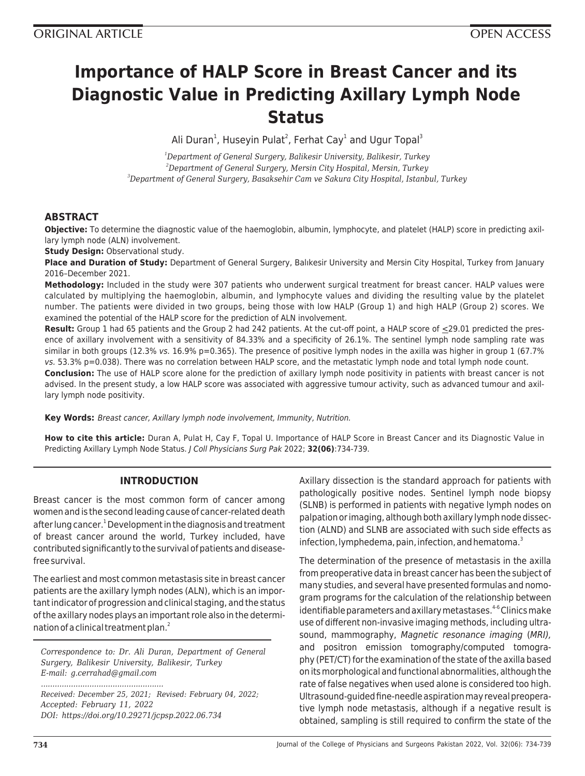# **Importance of HALP Score in Breast Cancer and its Diagnostic Value in Predicting Axillary Lymph Node Status**

Ali Duran<sup>1</sup>, Huseyin Pulat<sup>2</sup>, Ferhat Cay<sup>1</sup> and Ugur Topal<sup>3</sup>

*<sup>1</sup>Department of General Surgery, Balikesir University, Balikesir, Turkey <sup>2</sup>Department of General Surgery, Mersin City Hospital, Mersin, Turkey <sup>3</sup>Department of General Surgery, Basaksehir Cam ve Sakura City Hospital, Istanbul, Turkey*

## **ABSTRACT**

**Objective:** To determine the diagnostic value of the haemoglobin, albumin, lymphocyte, and platelet (HALP) score in predicting axillary lymph node (ALN) involvement.

**Study Design:** Observational study.

**Place and Duration of Study:** Department of General Surgery, Balıkesir University and Mersin City Hospital, Turkey from January 2016–December 2021.

**Methodology:** Included in the study were 307 patients who underwent surgical treatment for breast cancer. HALP values were calculated by multiplying the haemoglobin, albumin, and lymphocyte values and dividing the resulting value by the platelet number. The patients were divided in two groups, being those with low HALP (Group 1) and high HALP (Group 2) scores. We examined the potential of the HALP score for the prediction of ALN involvement.

**Result:** Group 1 had 65 patients and the Group 2 had 242 patients. At the cut-off point, a HALP score of <29.01 predicted the presence of axillary involvement with a sensitivity of 84.33% and a specificity of 26.1%. The sentinel lymph node sampling rate was similar in both groups (12.3% vs. 16.9% p=0.365). The presence of positive lymph nodes in the axilla was higher in group 1 (67.7% vs. 53.3% p=0.038). There was no correlation between HALP score, and the metastatic lymph node and total lymph node count.

**Conclusion:** The use of HALP score alone for the prediction of axillary lymph node positivity in patients with breast cancer is not advised. In the present study, a low HALP score was associated with aggressive tumour activity, such as advanced tumour and axillary lymph node positivity.

**Key Words:** Breast cancer, Axillary lymph node involvement, Immunity, Nutrition.

**How to cite this article:** Duran A, Pulat H, Cay F, Topal U. Importance of HALP Score in Breast Cancer and its Diagnostic Value in Predicting Axillary Lymph Node Status. J Coll Physicians Surg Pak 2022; **32(06)**:734-739.

## **INTRODUCTION**

Breast cancer is the most common form of cancer among women and is the second leading cause of cancer-related death after lung cancer.<sup>1</sup> Development in the diagnosis and treatment of breast cancer around the world, Turkey included, have contributed significantly to the survival of patients and diseasefree survival.

The earliest and most common metastasis site in breast cancer patients are the axillary lymph nodes (ALN), which is an important indicator of progression and clinical staging, and the status of the axillary nodes plays an important role also in the determination of a clinical treatment plan.<sup>2</sup>

*Correspondence to: Dr. Ali Duran, Department of General Surgery, Balikesir University, Balikesir, Turkey E-mail: g.cerrahad@gmail.com*

*Received: December 25, 2021; Revised: February 04, 2022; Accepted: February 11, 2022 DOI: https://doi.org/10.29271/jcpsp.2022.06.734*

*.....................................................*

Axillary dissection is the standard approach for patients with pathologically positive nodes. Sentinel lymph node biopsy (SLNB) is performed in patients with negative lymph nodes on palpation or imaging, although both axillary lymph node dissection (ALND) and SLNB are associated with such side effects as infection, lymphedema, pain, infection, and hematoma. $3$ 

The determination of the presence of metastasis in the axilla from preoperative data in breast cancer has been the subject of many studies, and several have presented formulas and nomogram programs for the calculation of the relationship between identifiable parameters and axillary metastases.<sup>4-6</sup> Clinics make use of different non-invasive imaging methods, including ultrasound, mammography, Magnetic resonance imaging (MRI), and positron emission tomography/computed tomography (PET/CT) for the examination of the state of the axilla based on its morphological and functional abnormalities, although the rate of false negatives when used alone is considered too high. Ultrasound-guided fine-needle aspiration may reveal preoperative lymph node metastasis, although if a negative result is obtained, sampling is still required to confirm the state of the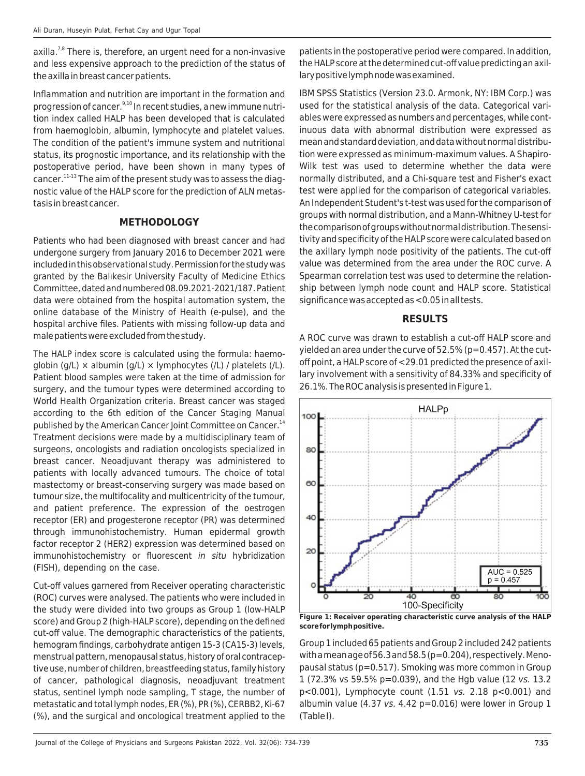$axilla.<sup>7,8</sup>$  There is, therefore, an urgent need for a non-invasive and less expensive approach to the prediction of the status of the axilla in breast cancer patients.

Inflammation and nutrition are important in the formation and progression of cancer. $9,10$  In recent studies, a new immune nutrition index called HALP has been developed that is calculated from haemoglobin, albumin, lymphocyte and platelet values. The condition of the patient's immune system and nutritional status, its prognostic importance, and its relationship with the postoperative period, have been shown in many types of cancer.11-13 The aim of the present study was to assess the diagnostic value of the HALP score for the prediction of ALN metastasis in breast cancer.

#### **METHODOLOGY**

Patients who had been diagnosed with breast cancer and had undergone surgery from January 2016 to December 2021 were included in this observational study. Permission for the study was granted by the Balıkesir University Faculty of Medicine Ethics Committee, dated and numbered 08.09.2021-2021/187. Patient data were obtained from the hospital automation system, the online database of the Ministry of Health (e-pulse), and the hospital archive files. Patients with missing follow-up data and male patients were excluded from the study.

The HALP index score is calculated using the formula: haemoglobin (g/L)  $\times$  albumin (g/L)  $\times$  lymphocytes (/L) / platelets (/L). Patient blood samples were taken at the time of admission for surgery, and the tumour types were determined according to World Health Organization criteria. Breast cancer was staged according to the 6th edition of the Cancer Staging Manual published by the American Cancer Joint Committee on Cancer.<sup>14</sup> Treatment decisions were made by a multidisciplinary team of surgeons, oncologists and radiation oncologists specialized in breast cancer. Neoadjuvant therapy was administered to patients with locally advanced tumours. The choice of total mastectomy or breast-conserving surgery was made based on tumour size, the multifocality and multicentricity of the tumour, and patient preference. The expression of the oestrogen receptor (ER) and progesterone receptor (PR) was determined through immunohistochemistry. Human epidermal growth factor receptor 2 (HER2) expression was determined based on immunohistochemistry or fluorescent in situ hybridization (FISH), depending on the case.

Cut-off values garnered from Receiver operating characteristic (ROC) curves were analysed. The patients who were included in the study were divided into two groups as Group 1 (low-HALP score) and Group 2 (high-HALP score), depending on the defined cut-off value. The demographic characteristics of the patients, hemogram findings, carbohydrate antigen 15-3 (CA15-3) levels, menstrual pattern, menopausal status, history of oral contraceptive use, number of children, breastfeeding status, family history of cancer, pathological diagnosis, neoadjuvant treatment status, sentinel lymph node sampling, T stage, the number of metastatic and total lymph nodes, ER (%), PR (%), CERBB2, Ki-67 (%), and the surgical and oncological treatment applied to the

patients in the postoperative period were compared. In addition, the HALP score at the determined cut-off value predicting an axillary positive lymph node was examined.

IBM SPSS Statistics (Version 23.0. Armonk, NY: IBM Corp.) was used for the statistical analysis of the data. Categorical variables were expressed as numbers and percentages, while continuous data with abnormal distribution were expressed as mean and standard deviation, and data without normal distribution were expressed as minimum-maximum values. A Shapiro-Wilk test was used to determine whether the data were normally distributed, and a Chi-square test and Fisher's exact test were applied for the comparison of categorical variables. An Independent Student's t-test was used for the comparison of groups with normal distribution, and a Mann-Whitney U-test for the comparison of groups without normal distribution. The sensitivity and specificity of the HALP score were calculated based on the axillary lymph node positivity of the patients. The cut-off value was determined from the area under the ROC curve. A Spearman correlation test was used to determine the relationship between lymph node count and HALP score. Statistical significance was accepted as <0.05 in all tests.

#### **RESULTS**

A ROC curve was drawn to establish a cut-off HALP score and yielded an area under the curve of 52.5% (p=0.457). At the cutoff point, a HALP score of <29.01 predicted the presence of axillary involvement with a sensitivity of 84.33% and specificity of 26.1%. The ROC analysis is presented in Figure 1.



**Figure 1: Receiver operating characteristic curve analysis of the HALP score for lymph positive.**

Group 1 included 65 patients and Group 2 included 242 patients with a mean age of 56.3 and 58.5 (p=0.204), respectively. Menopausal status (p=0.517). Smoking was more common in Group 1 (72.3% vs 59.5% p=0.039), and the Hgb value (12 vs. 13.2 p<0.001), Lymphocyte count (1.51 vs. 2.18 p<0.001) and albumin value (4.37 vs. 4.42  $p=0.016$ ) were lower in Group 1 (Table I).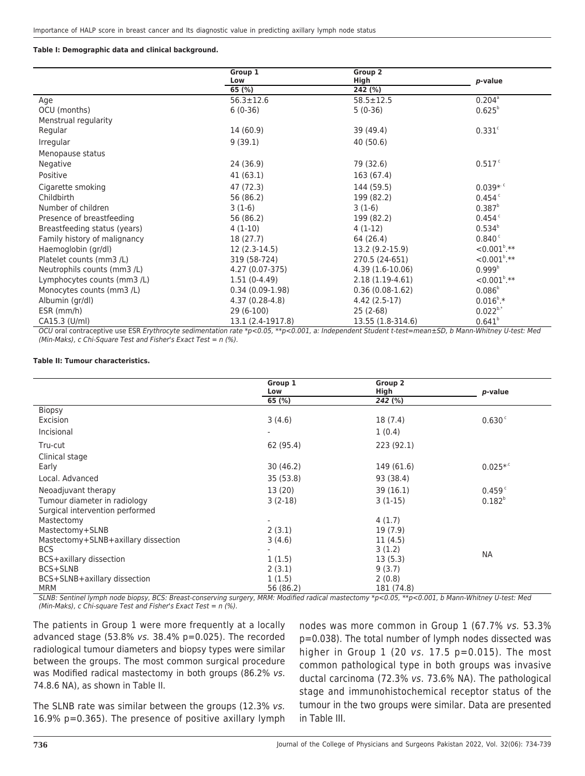#### **Table I: Demographic data and clinical background.**

|                              | Group 1           | Group 2           |                        |
|------------------------------|-------------------|-------------------|------------------------|
|                              | Low               | High              | p-value                |
|                              | 65 $(%)$          | 242 (%)           |                        |
| Age                          | $56.3 \pm 12.6$   | $58.5 \pm 12.5$   | $0.204^{\circ}$        |
| OCU (months)                 | $6(0-36)$         | $5(0-36)$         | $0.625^{b}$            |
| Menstrual regularity         |                   |                   |                        |
| Regular                      | 14 (60.9)         | 39 (49.4)         | $0.331$ <sup>c</sup>   |
| Irregular                    | 9(39.1)           | 40 (50.6)         |                        |
| Menopause status             |                   |                   |                        |
| Negative                     | 24 (36.9)         | 79 (32.6)         | 0.517c                 |
| Positive                     | 41(63.1)          | 163 (67.4)        |                        |
| Cigarette smoking            | 47 (72.3)         | 144 (59.5)        | $0.039**$ <sup>c</sup> |
| Childbirth                   | 56 (86.2)         | 199 (82.2)        | 0.454c                 |
| Number of children           | $3(1-6)$          | $3(1-6)$          | $0.387^{b}$            |
| Presence of breastfeeding    | 56 (86.2)         | 199 (82.2)        | 0.454c                 |
| Breastfeeding status (years) | $4(1-10)$         | $4(1-12)$         | $0.534^{b}$            |
| Family history of malignancy | 18 (27.7)         | 64 (26.4)         | $0.840^{\circ}$        |
| Haemoglobin (gr/dl)          | $12(2.3-14.5)$    | 13.2 (9.2-15.9)   | $< 0.001^{\circ}$ .**  |
| Platelet counts (mm3 /L)     | 319 (58-724)      | 270.5 (24-651)    | $< 0.001^{\circ}$ .**  |
| Neutrophils counts (mm3 /L)  | 4.27 (0.07-375)   | $4.39(1.6-10.06)$ | 0.999 <sup>b</sup>     |
| Lymphocytes counts (mm3 /L)  | $1.51(0-4.49)$    | $2.18(1.19-4.61)$ | ${<}0.001^{\circ}$ .** |
| Monocytes counts (mm3 /L)    | $0.34(0.09-1.98)$ | $0.36(0.08-1.62)$ | $0.086^{b}$            |
| Albumin (gr/dl)              | 4.37 (0.28-4.8)   | 4.42 (2.5-17)     | $0.016^{\circ}$ .*     |
| ESR (mm/h)                   | $29(6-100)$       | $25(2-68)$        | $0.022^{b.*}$          |
| CA15.3 (U/ml)                | 13.1 (2.4-1917.8) | 13.55 (1.8-314.6) | $0.641^{b}$            |

OCU oral contraceptive use ESR Erythrocyte sedimentation rate \*p<0.05, \*\*p<0.001, a: Independent Student t-test=mean±SD, b Mann-Whitney U-test: Med (Min-Maks), c Chi-Square Test and Fisher's Exact Test = n (%).

#### **Table II: Tumour characteristics.**

|                                     | Group 1   | Group 2    |                        |
|-------------------------------------|-----------|------------|------------------------|
|                                     | Low       | High       | <i>p</i> -value        |
|                                     | 65 (%)    | 242 (%)    |                        |
| <b>Biopsy</b>                       |           |            |                        |
| Excision                            | 3(4.6)    | 18 (7.4)   | 0.630 <sup>c</sup>     |
| Incisional                          |           | 1(0.4)     |                        |
| Tru-cut                             | 62 (95.4) | 223 (92.1) |                        |
| Clinical stage                      |           |            |                        |
| Early                               | 30(46.2)  | 149 (61.6) | $0.025**$ <sup>c</sup> |
| Local, Advanced                     | 35 (53.8) | 93 (38.4)  |                        |
| Neoadjuvant therapy                 | 13(20)    | 39(16.1)   | 0.459c                 |
| Tumour diameter in radiology        | $3(2-18)$ | $3(1-15)$  | $0.182^{b}$            |
| Surgical intervention performed     |           |            |                        |
| Mastectomy                          |           | 4(1.7)     |                        |
| Mastectomy+SLNB                     | 2(3.1)    | 19(7.9)    |                        |
| Mastectomy+SLNB+axillary dissection | 3(4.6)    | 11(4.5)    | <b>NA</b>              |
| <b>BCS</b>                          |           | 3(1.2)     |                        |
| BCS+axillary dissection             | 1(1.5)    | 13(5.3)    |                        |
| BCS+SLNB                            | 2(3.1)    | 9(3.7)     |                        |
| BCS+SLNB+axillary dissection        | 1(1.5)    | 2(0.8)     |                        |
| <b>MRM</b>                          | 56 (86.2) | 181 (74.8) |                        |

SLNB: Sentinel lymph node biopsy, BCS: Breast-conserving surgery, MRM: Modified radical mastectomy \*p<0.05, \*\*p<0.001, b Mann-Whitney U-test: Med (Min-Maks), c Chi-square Test and Fisher's Exact Test =  $n$  (%).

The patients in Group 1 were more frequently at a locally advanced stage (53.8% vs. 38.4% p=0.025). The recorded radiological tumour diameters and biopsy types were similar between the groups. The most common surgical procedure was Modified radical mastectomy in both groups (86.2% vs. 74.8.6 NA), as shown in Table II.

The SLNB rate was similar between the groups (12.3% vs. 16.9% p=0.365). The presence of positive axillary lymph

nodes was more common in Group 1 (67.7% vs. 53.3% p=0.038). The total number of lymph nodes dissected was higher in Group  $1$  (20 vs. 17.5  $p=0.015$ ). The most common pathological type in both groups was invasive ductal carcinoma (72.3% vs. 73.6% NA). The pathological stage and immunohistochemical receptor status of the tumour in the two groups were similar. Data are presented in Table III.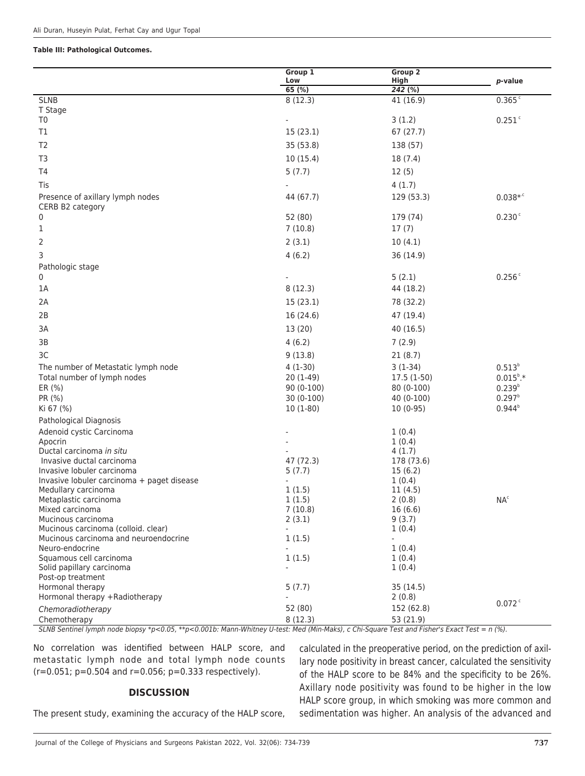#### **Table III: Pathological Outcomes.**

|                                                         | Group 1<br>Low | Group <sub>2</sub><br>High | p-value            |
|---------------------------------------------------------|----------------|----------------------------|--------------------|
|                                                         | 65(%)          | 242 (%)                    |                    |
| <b>SLNB</b>                                             | 8(12.3)        | 41 (16.9)                  | 0.365c             |
| T Stage                                                 |                |                            |                    |
| T0                                                      |                | 3(1.2)                     | 0.251c             |
| T1                                                      | 15(23.1)       | 67 (27.7)                  |                    |
| T <sub>2</sub>                                          | 35 (53.8)      | 138 (57)                   |                    |
| T3                                                      | 10(15.4)       | 18 (7.4)                   |                    |
| T <sub>4</sub>                                          | 5(7.7)         | 12(5)                      |                    |
| Tis                                                     |                | 4(1.7)                     |                    |
| Presence of axillary lymph nodes                        | 44 (67.7)      | 129 (53.3)                 | $0.038**c$         |
| CERB B2 category                                        |                |                            |                    |
| 0                                                       | 52 (80)        | 179 (74)                   | 0.230c             |
| 1                                                       | 7(10.8)        | 17(7)                      |                    |
| 2                                                       | 2(3.1)         | 10(4.1)                    |                    |
| 3                                                       | 4(6.2)         | 36 (14.9)                  |                    |
| Pathologic stage                                        |                |                            |                    |
| 0                                                       |                | 5(2.1)                     | 0.256              |
| 1A                                                      | 8(12.3)        | 44 (18.2)                  |                    |
| 2A                                                      | 15 (23.1)      | 78 (32.2)                  |                    |
| 2B                                                      | 16 (24.6)      | 47 (19.4)                  |                    |
| 3A                                                      | 13 (20)        | 40 (16.5)                  |                    |
| 3B                                                      | 4(6.2)         | 7(2.9)                     |                    |
| 3C                                                      | 9(13.8)        | 21(8.7)                    |                    |
| The number of Metastatic lymph node                     | $4(1-30)$      | $3(1-34)$                  | $0.513^{b}$        |
| Total number of lymph nodes                             | $20(1-49)$     | $17.5(1-50)$               | $0.015^{\circ}$ .* |
| ER (%)                                                  | $90(0-100)$    | 80 (0-100)                 | $0.239^{b}$        |
| PR (%)                                                  | $30(0-100)$    | 40 (0-100)                 | $0.297^{b}$        |
| Ki 67 (%)                                               | $10(1-80)$     | $10(0-95)$                 | $0.944^{b}$        |
| Pathological Diagnosis                                  |                |                            |                    |
| Adenoid cystic Carcinoma                                |                | 1(0.4)                     |                    |
| Apocrin                                                 |                | 1(0.4)                     |                    |
| Ductal carcinoma in situ                                |                | 4(1.7)                     |                    |
| Invasive ductal carcinoma<br>Invasive lobuler carcinoma | 47 (72.3)      | 178 (73.6)                 |                    |
| Invasive lobuler carcinoma + paget disease              | 5(7.7)         | 15(6.2)<br>1(0.4)          |                    |
| Medullary carcinoma                                     | 1(1.5)         | 11(4.5)                    |                    |
| Metaplastic carcinoma                                   | 1(1.5)         | 2(0.8)                     | NA <sup>c</sup>    |
| Mixed carcinoma                                         | 7(10.8)        | 16(6.6)                    |                    |
| Mucinous carcinoma                                      | 2(3.1)         | 9(3.7)                     |                    |
| Mucinous carcinoma (colloid. clear)                     |                | 1(0.4)                     |                    |
| Mucinous carcinoma and neuroendocrine                   | 1(1.5)         |                            |                    |
| Neuro-endocrine                                         |                | 1(0.4)                     |                    |
| Squamous cell carcinoma<br>Solid papillary carcinoma    | 1(1.5)         | 1(0.4)<br>1(0.4)           |                    |
| Post-op treatment                                       |                |                            |                    |
| Hormonal therapy                                        | 5(7.7)         | 35(14.5)                   |                    |
| Hormonal therapy +Radiotherapy                          |                | 2(0.8)                     |                    |
| Chemoradiotherapy                                       | 52 (80)        | 152 (62.8)                 | 0.072              |
| Chemotherapy                                            | 8(12.3)        | 53 (21.9)                  |                    |

SLNB Sentinel lymph node biopsy \*p<0.05, \*\*p<0.001b: Mann-Whitney U-test: Med (Min-Maks), c Chi-Square Test and Fisher's Exact Test = n (%).

No correlation was identified between HALP score, and metastatic lymph node and total lymph node counts (r=0.051; p=0.504 and r=0.056; p=0.333 respectively).

#### **DISCUSSION**

The present study, examining the accuracy of the HALP score,

calculated in the preoperative period, on the prediction of axillary node positivity in breast cancer, calculated the sensitivity of the HALP score to be 84% and the specificity to be 26%. Axillary node positivity was found to be higher in the low HALP score group, in which smoking was more common and sedimentation was higher. An analysis of the advanced and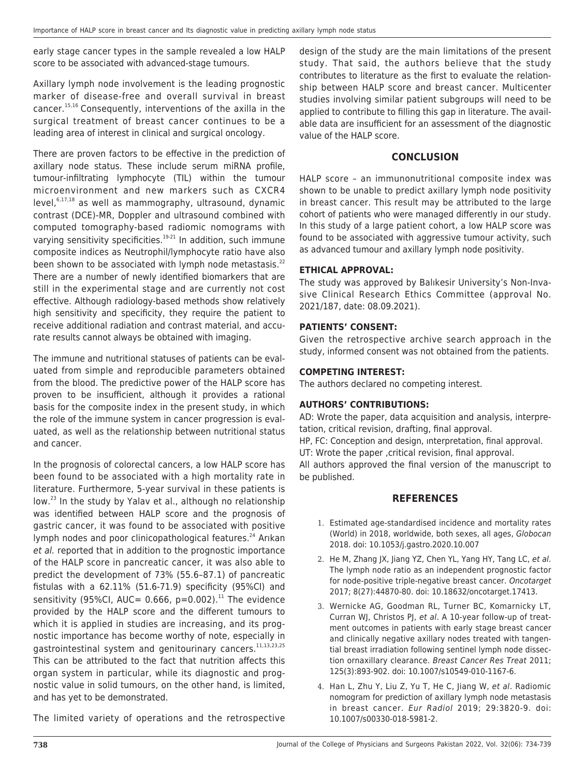early stage cancer types in the sample revealed a low HALP score to be associated with advanced-stage tumours.

Axillary lymph node involvement is the leading prognostic marker of disease-free and overall survival in breast cancer.15,16 Consequently, interventions of the axilla in the surgical treatment of breast cancer continues to be a leading area of interest in clinical and surgical oncology.

There are proven factors to be effective in the prediction of axillary node status. These include serum miRNA profile, tumour-infiltrating lymphocyte (TIL) within the tumour microenvironment and new markers such as CXCR4  $level,$ <sup>6,17,18</sup> as well as mammography, ultrasound, dynamic contrast (DCE)-MR, Doppler and ultrasound combined with computed tomography-based radiomic nomograms with varying sensitivity specificities.<sup>19-21</sup> In addition, such immune composite indices as Neutrophil/lymphocyte ratio have also been shown to be associated with lymph node metastasis. $^{22}$ There are a number of newly identified biomarkers that are still in the experimental stage and are currently not cost effective. Although radiology-based methods show relatively high sensitivity and specificity, they require the patient to receive additional radiation and contrast material, and accurate results cannot always be obtained with imaging.

The immune and nutritional statuses of patients can be evaluated from simple and reproducible parameters obtained from the blood. The predictive power of the HALP score has proven to be insufficient, although it provides a rational basis for the composite index in the present study, in which the role of the immune system in cancer progression is evaluated, as well as the relationship between nutritional status and cancer.

In the prognosis of colorectal cancers, a low HALP score has been found to be associated with a high mortality rate in literature. Furthermore, 5-year survival in these patients is low.<sup>23</sup> In the study by Yalay et al., although no relationship was identified between HALP score and the prognosis of gastric cancer, it was found to be associated with positive lymph nodes and poor clinicopathological features.<sup>24</sup> Arıkan et al. reported that in addition to the prognostic importance of the HALP score in pancreatic cancer, it was also able to predict the development of 73% (55.6–87.1) of pancreatic fistulas with a 62.11% (51.6-71.9) specificity (95%CI) and sensitivity (95%CI, AUC= 0.666,  $p=0.002$ ).<sup>11</sup> The evidence provided by the HALP score and the different tumours to which it is applied in studies are increasing, and its prognostic importance has become worthy of note, especially in gastrointestinal system and genitourinary cancers.<sup>11,13,23,25</sup> This can be attributed to the fact that nutrition affects this organ system in particular, while its diagnostic and prognostic value in solid tumours, on the other hand, is limited, and has yet to be demonstrated.

The limited variety of operations and the retrospective

design of the study are the main limitations of the present study. That said, the authors believe that the study contributes to literature as the first to evaluate the relationship between HALP score and breast cancer. Multicenter studies involving similar patient subgroups will need to be applied to contribute to filling this gap in literature. The available data are insufficient for an assessment of the diagnostic value of the HALP score.

### **CONCLUSION**

HALP score – an immunonutritional composite index was shown to be unable to predict axillary lymph node positivity in breast cancer. This result may be attributed to the large cohort of patients who were managed differently in our study. In this study of a large patient cohort, a low HALP score was found to be associated with aggressive tumour activity, such as advanced tumour and axillary lymph node positivity.

#### **ETHICAL APPROVAL:**

The study was approved by Balıkesir University's Non-Invasive Clinical Research Ethics Committee (approval No. 2021/187, date: 08.09.2021).

#### **PATIENTS' CONSENT:**

Given the retrospective archive search approach in the study, informed consent was not obtained from the patients.

#### **COMPETING INTEREST:**

The authors declared no competing interest.

#### **AUTHORS' CONTRIBUTIONS:**

AD: Wrote the paper, data acquisition and analysis, interpretation, critical revision, drafting, final approval. HP, FC: Conception and design, ınterpretation, final approval. UT: Wrote the paper ,critical revision, final approval. All authors approved the final version of the manuscript to be published.

#### **REFERENCES**

- 1. Estimated age-standardised incidence and mortality rates (World) in 2018, worldwide, both sexes, all ages, Globocan 2018. doi: 10.1053/j.gastro.2020.10.007
- 2. He M, Zhang JX, Jiang YZ, Chen YL, Yang HY, Tang LC, et al. The lymph node ratio as an independent prognostic factor for node-positive triple-negative breast cancer. Oncotarget 2017; 8(27):44870-80. doi: 10.18632/oncotarget.17413.
- 3. Wernicke AG, Goodman RL, Turner BC, Komarnicky LT, Curran WJ, Christos PJ, et al. A 10-year follow-up of treatment outcomes in patients with early stage breast cancer and clinically negative axillary nodes treated with tangential breast irradiation following sentinel lymph node dissection ornaxillary clearance. Breast Cancer Res Treat 2011; 125(3):893-902. doi: 10.1007/s10549-010-1167-6.
- 4. Han L, Zhu Y, Liu Z, Yu T, He C, Jiang W, et al. Radiomic nomogram for prediction of axillary lymph node metastasis in breast cancer. Eur Radiol 2019; 29:3820-9. doi: 10.1007/s00330-018-5981-2.